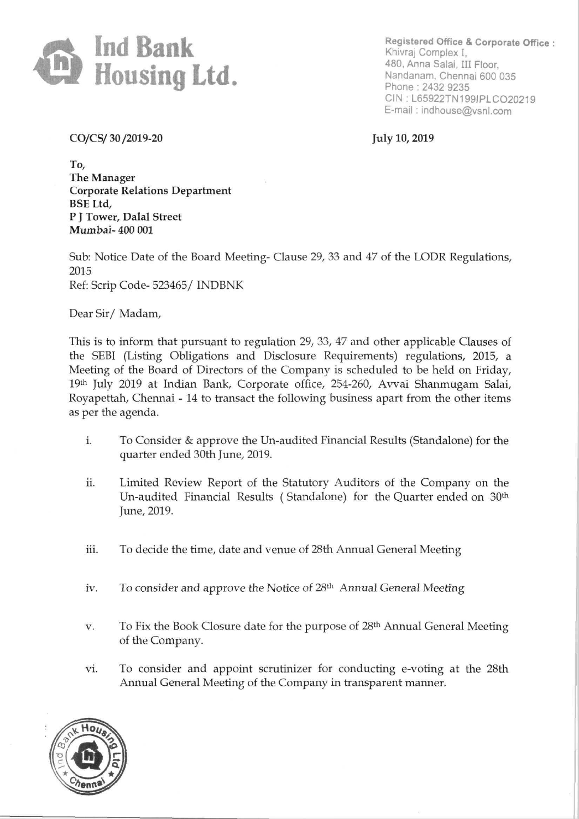

Registered Office & Corporate Office: Khivraj Complex I, 480, Anna Salai, III Floor, Nandanam, Chennai 600 035 Phone : 2432 9235 CIN: L65922TN199JPLC020219 E-mail : indhouse@vsnl.com

CO/CS/ 30 /2019-20 July 10, 2019

To, The Manager Corporate Relations Department BSE Ltd, P J Tower, Dalal Street Mumbai- 400 001

Sub: Notice Date of the Board Meeting- Clause 29, 33 and 47 of the LODR Regulations, 2015 Ref: Scrip Code- 523465/ INDBNK

Dear Sir/ Madam,

This is to inform that pursuant to regulation 29, 33, 47 and other applicable Clauses of the SEBI (Listing Obligations and Disclosure Requirements) regulations, 2015, a Meeting of the Board of Directors of the Company is scheduled to be held on Friday, 19th July 2019 at Indian Bank, Corporate office, 254-260, Avvai Shanmugam Salai, Royapettah, Chennai - 14 to transact the following business apart from the other items as per the agenda.

- i. To Consider & approve the Un-audited Financial Results (Standalone) for the quarter ended 30th June, 2019.
- ii. Limited Review Report of the Statutory Auditors of the Company on the Un-audited Financial Results (Standalone) for the Quarter ended on 30<sup>th</sup> June, 2019.
- iii. To decide the time, date and venue of 28th Annual General Meeting
- iv. To consider and approve the Notice of 28<sup>th</sup> Annual General Meeting
- *v.* To Fix the Book Closure date for the purpose of 28th Annual General Meeting of the Company.
- vi. To consider and appoint scrutinizer for conducting e-voting at the 28th Annual General Meeting of the Company in transparent manner.